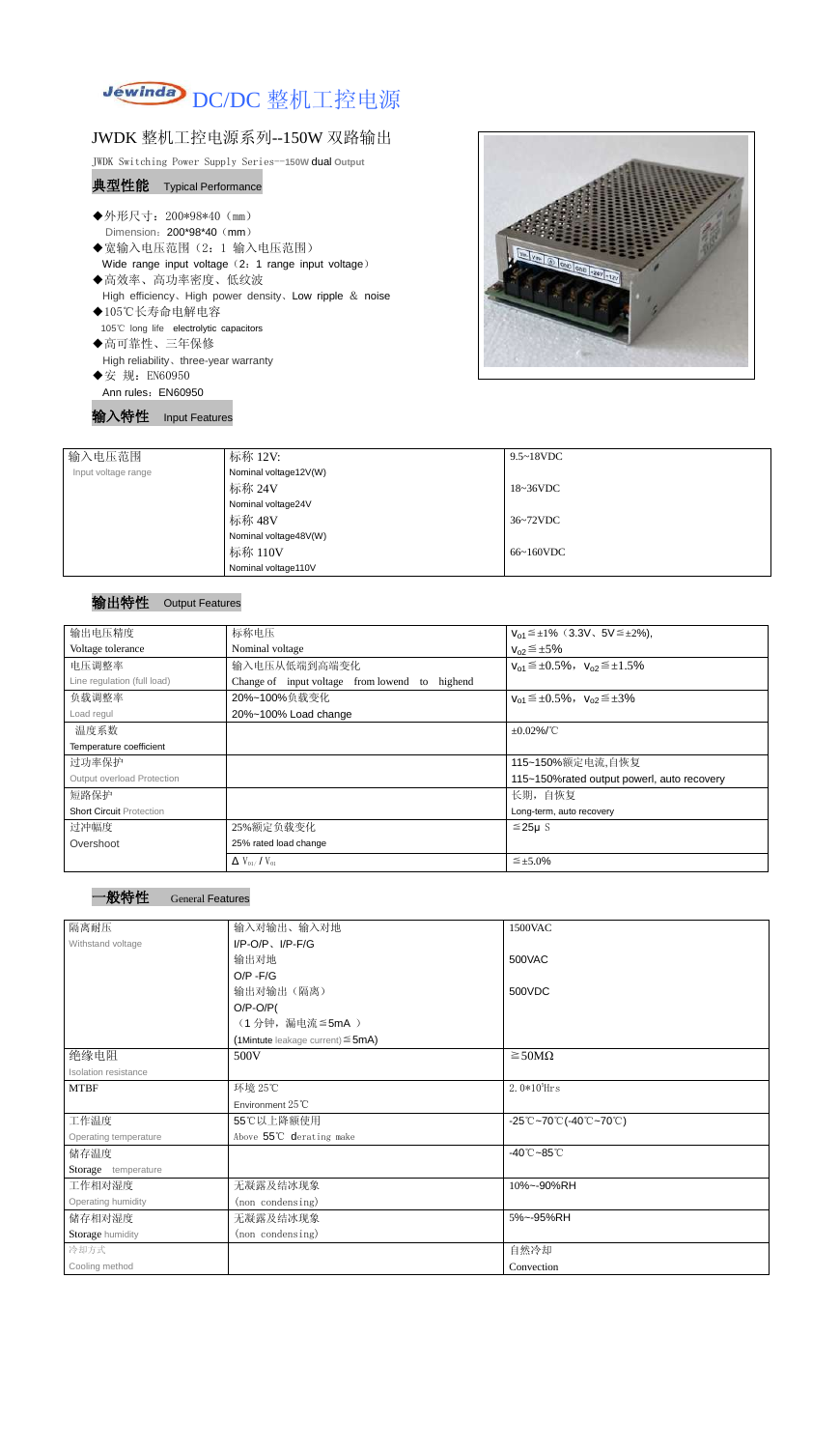

## JWDK 整机工控电源系列--150W 双路输出

JWDK Switching Power Supply Series--**150W** dual **Output**

## 典型性能 Typical Performance

- ◆外形尺寸: 200\*98\*40 (mm) Dimension: 200\*98\*40 (mm)
- ◆宽输入电压范围(2:1 输入电压范围) Wide range input voltage (2: 1 range input voltage)
- ◆高效率、高功率密度、低纹波 High efficiency、High power density、Low ripple & noise
- ◆105℃长寿命电解电容 105℃ long life electrolytic capacitors
- ◆高可靠性、三年保修 High reliability、three-year warranty
- ◆安 规: EN60950
- Ann rules: EN60950

输入特性 Input Features



| 输入电压范围              | 标称 12V:               | $9.5 \sim 18$ VDC   |
|---------------------|-----------------------|---------------------|
| Input voltage range | Nominal voltage12V(W) |                     |
|                     | 标称 24V                | $18~36\textrm{VDC}$ |
|                     | Nominal voltage24V    |                     |
|                     | 标称 48V                | 36~72VDC            |
|                     | Nominal voltage48V(W) |                     |
|                     | 标称 110V               | 66~160VDC           |
|                     | Nominal voltage110V   |                     |

## 输出特性 Output Features

| 输出电压精度                          | 标称电压                                                 | $V_{01} \leq \pm 1\%$ (3.3V, 5V $\leq \pm 2\%$ ), |
|---------------------------------|------------------------------------------------------|---------------------------------------------------|
| Voltage tolerance               | Nominal voltage                                      | $V_{02} \leq \pm 5\%$                             |
| 电压调整率                           | 输入电压从低端到高端变化                                         | $V_{01} \leq \pm 0.5\%$ , $V_{02} \leq \pm 1.5\%$ |
| Line regulation (full load)     | Change of input voltage from lowend<br>highend<br>to |                                                   |
| 负载调整率                           | 20%~100%负载变化                                         | $V_{01} \leq \pm 0.5\%$ , $V_{02} \leq \pm 3\%$   |
| Load regul                      | 20%~100% Load change                                 |                                                   |
| 温度系数                            |                                                      | $\pm 0.02\%$ /°C                                  |
| Temperature coefficient         |                                                      |                                                   |
| 过功率保护                           |                                                      | 115~150%额定电流,自恢复                                  |
| Output overload Protection      |                                                      | 115~150% rated output powerl, auto recovery       |
| 短路保护                            |                                                      | 长期, 自恢复                                           |
| <b>Short Circuit Protection</b> |                                                      | Long-term, auto recovery                          |
| 过冲幅度                            | 25%额定负载变化                                            | $≤25\mu$ S                                        |
| Overshoot                       | 25% rated load change                                |                                                   |
|                                 | $\Delta$ V <sub>01</sub> /V <sub>01</sub>            | $\leq \pm 5.0\%$                                  |



| 隔离耐压                  | 输入对输出、输入对地                                | 1500VAC                                                                                       |  |
|-----------------------|-------------------------------------------|-----------------------------------------------------------------------------------------------|--|
| Withstand voltage     | $I/P$ -O/P, $I/P$ -F/G                    |                                                                                               |  |
|                       | 输出对地                                      | 500VAC                                                                                        |  |
|                       | $O/P - F/G$                               |                                                                                               |  |
|                       | 输出对输出(隔离)                                 | 500VDC                                                                                        |  |
|                       | $O/P-O/P($                                |                                                                                               |  |
|                       | (1分钟,漏电流≦5mA)                             |                                                                                               |  |
|                       | $(1$ Mintute leakage current) $\leq$ 5mA) |                                                                                               |  |
| 绝缘电阻                  | 500V                                      | $\geq$ 50M $\Omega$                                                                           |  |
| Isolation resistance  |                                           |                                                                                               |  |
| <b>MTBF</b>           | 环境 25℃                                    | $2.0*105$ Hrs                                                                                 |  |
|                       | Environment 25°C                          |                                                                                               |  |
| 工作温度                  | 55℃以上降额使用                                 | $-25^{\circ}\text{C}$ ~70 $^{\circ}\text{C}$ (-40 $^{\circ}\text{C}$ ~70 $^{\circ}\text{C}$ ) |  |
| Operating temperature | Above 55℃ derating make                   |                                                                                               |  |
| 储存温度                  |                                           | $-40^{\circ}$ C $-85^{\circ}$ C                                                               |  |
| Storage temperature   |                                           |                                                                                               |  |
| 工作相对湿度                | 无凝露及结冰现象                                  | 10%~-90%RH                                                                                    |  |
| Operating humidity    | (non condensing)                          |                                                                                               |  |
| 储存相对湿度                | 无凝露及结冰现象                                  | 5%~-95%RH                                                                                     |  |
| Storage humidity      | (non condensing)                          |                                                                                               |  |
| 冷却方式                  |                                           | 自然冷却                                                                                          |  |
| Cooling method        |                                           | Convection                                                                                    |  |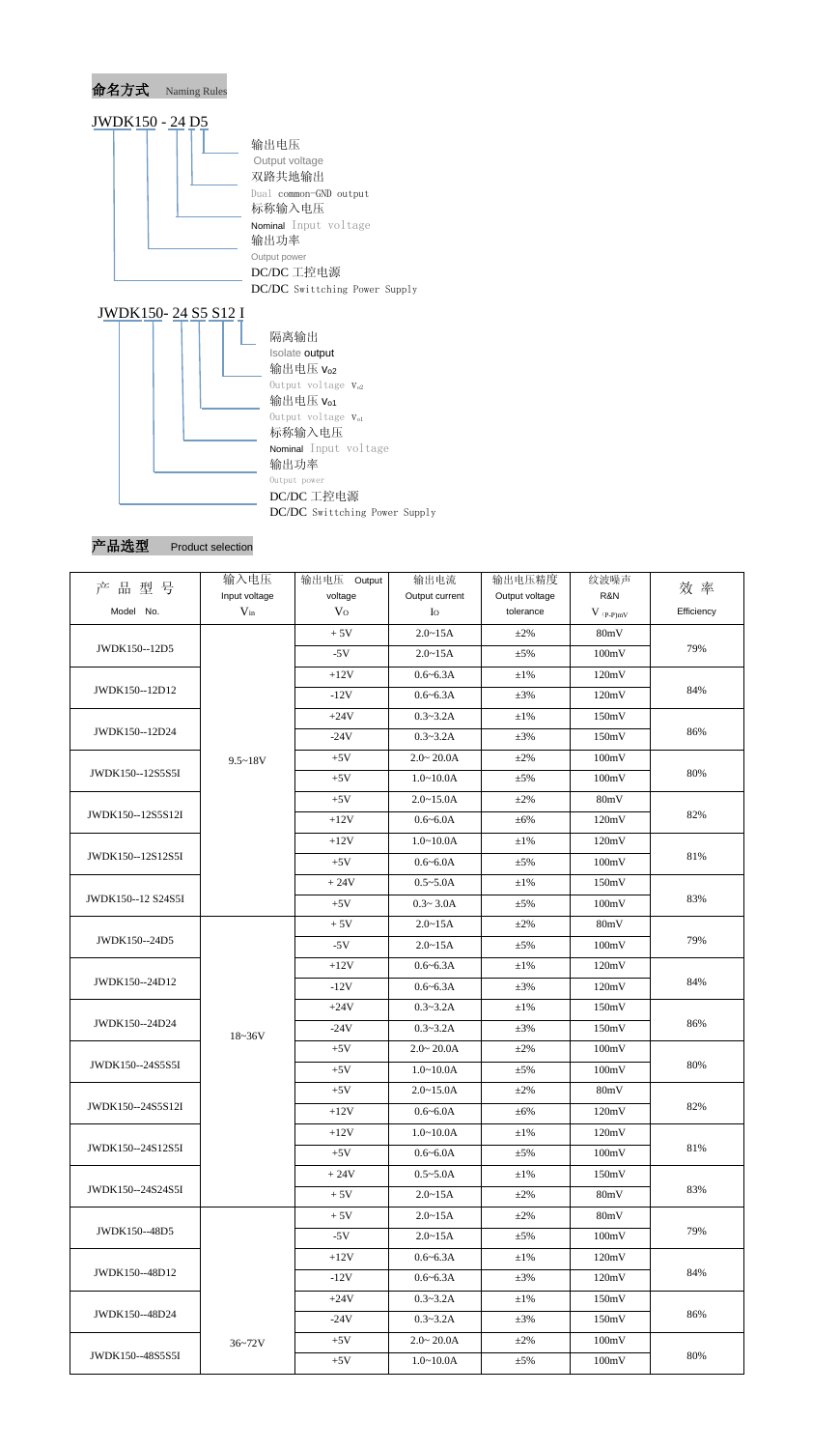

## 产品选型 Product selection

| 产品型号               | 输入电压                      | 输出电压 Output               | 输出电流                          | 输出电压精度                      | 纹波噪声<br>R&N | 效 率        |
|--------------------|---------------------------|---------------------------|-------------------------------|-----------------------------|-------------|------------|
| Model No.          | Input voltage<br>$V_{in}$ | voltage<br>V <sub>O</sub> | Output current<br>$I_{\rm O}$ | Output voltage<br>tolerance | $V$ (p-p)mV | Efficiency |
|                    |                           | $+5V$                     | $2.0 - 15A$                   | $\pm 2\%$                   | 80mV        |            |
| JWDK150--12D5      |                           | $-5V$                     | $2.0 - 15A$                   | $\pm$ 5%                    | 100mV       | 79%        |
|                    |                           |                           |                               |                             |             |            |
| JWDK150--12D12     |                           | $+12V$                    | $0.6 - 6.3A$                  | $\pm 1\%$                   | 120mV       | 84%        |
|                    |                           | $-12V$                    | $0.6 - 6.3A$                  | $\pm 3\%$                   | 120mV       |            |
| JWDK150--12D24     |                           | $+24V$                    | $0.3 - 3.2A$                  | $\pm 1\%$                   | 150mV       | 86%        |
|                    |                           | $-24V$                    | $0.3 - 3.2A$                  | $\pm 3\%$                   | 150mV       |            |
|                    | $9.5 - 18V$               | $+5V$                     | $2.0 - 20.0A$                 | $\pm 2\%$                   | 100mV       |            |
| JWDK150--12S5S5I   |                           | $+5V$                     | $1.0 - 10.0A$                 | $\pm$ 5%                    | 100mV       | 80%        |
|                    |                           | $+5V$                     | $2.0 - 15.0A$                 | $\pm 2\%$                   | 80mV        |            |
| JWDK150--12S5S12I  |                           | $+12V$                    | $0.6 - 6.0A$                  | $\pm 6\%$                   | 120mV       | 82%        |
|                    |                           | $+12V$                    | $1.0 - 10.0A$                 | $\pm 1\%$                   | 120mV       |            |
| JWDK150--12S12S5I  |                           | $+5V$                     | $0.6 - 6.0A$                  | $\pm$ 5%                    | 100mV       | 81%        |
|                    |                           | $+24V$                    | $0.5 - 5.0A$                  | $\pm 1\%$                   | 150mV       |            |
| JWDK150--12 S24S5I |                           | $+5V$                     | $0.3 - 3.0A$                  | $\pm$ 5%                    | 100mV       | 83%        |
|                    |                           | $+5V$                     | $2.0 - 15A$                   | $\pm 2\%$                   | 80mV        |            |
| JWDK150--24D5      |                           | $-5V$                     | $2.0 - 15A$                   | $\pm$ 5%                    | 100mV       | 79%        |
|                    |                           | $+12V$                    | $0.6 - 6.3A$                  | $\pm 1\%$                   | 120mV       |            |
| JWDK150--24D12     |                           | $-12V$                    | $0.6 - 6.3A$                  | $\pm 3\%$                   | 120mV       | 84%        |
|                    |                           | $+24V$                    | $0.3 - 3.2A$                  | $\pm 1\%$                   | 150mV       |            |
| JWDK150--24D24     |                           | $-24V$                    | $0.3 - 3.2A$                  | $\pm 3\%$                   | 150mV       | 86%        |
|                    | $18 - 36V$                | $+5V$                     | $2.0 - 20.0A$                 | $\pm 2\%$                   | 100mV       |            |
| JWDK150--24S5S5I   |                           | $+5V$                     | $1.0 - 10.0A$                 | $\pm$ 5%                    | 100mV       | 80%        |
|                    |                           | $+5V$                     | $2.0 - 15.0A$                 | $\pm 2\%$                   | 80mV        |            |
| JWDK150--24S5S12I  |                           | $+12V$                    | $0.6 - 6.0A$                  | $\pm 6\%$                   | 120mV       | 82%        |
|                    |                           | $+12V$                    | $1.0 - 10.0A$                 | $\pm 1\%$                   | 120mV       |            |
| JWDK150--24S12S5I  |                           | $+5V$                     | $0.6 - 6.0A$                  | $\pm$ 5%                    | 100mV       | 81%        |
|                    |                           | $+24V$                    | $0.5 - 5.0A$                  | $\pm 1\%$                   | 150mV       |            |
| JWDK150--24S24S5I  |                           | $+5V$                     | $2.0 - 15A$                   | $\pm 2\%$                   | 80mV        | 83%        |
|                    |                           | $+5V$                     | $2.0 - 15A$                   | $\pm 2\%$                   | 80mV        |            |
| JWDK150--48D5      |                           | $-5V$                     | $2.0 - 15A$                   |                             | 100mV       | 79%        |
|                    |                           |                           |                               | $\pm$ 5%                    |             |            |
| JWDK150--48D12     |                           | $+12V$                    | $0.6 - 6.3A$                  | $\pm 1\%$                   | 120mV       | 84%        |
|                    |                           | $-12V$                    | $0.6 - 6.3A$                  | $\pm 3\%$                   | 120mV       |            |
| JWDK150--48D24     |                           | $+24V$                    | $0.3 - 3.2A$                  | $\pm 1\%$                   | 150mV       | 86%        |
|                    |                           | $-24V$                    | $0.3 - 3.2A$                  | $\pm 3\%$                   | 150mV       |            |
|                    | $36 - 72V$                | $+5V$                     | $2.0 - 20.0A$                 | $\pm 2\%$                   | 100mV       |            |
| JWDK150--48S5S5I   |                           | $+5V$                     | $1.0 - 10.0A$                 | $\pm$ 5%                    | 100mV       | 80%        |